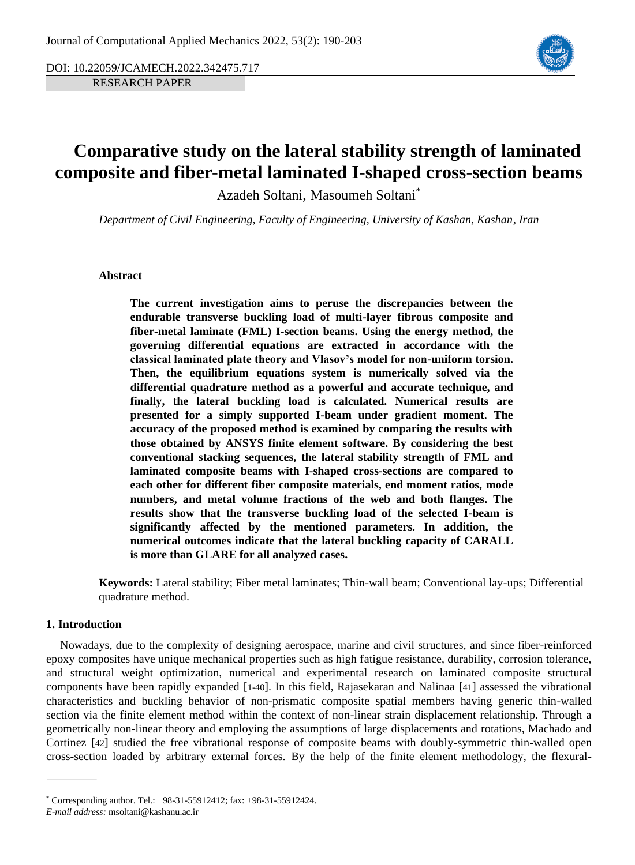DOI: 10.22059/JCAMECH.2022.342475.717

RESEARCH PAPER



# **Comparative study on the lateral stability strength of laminated composite and fiber-metal laminated I-shaped cross-section beams**

Azadeh Soltani, Masoumeh Soltani\*

*Department of Civil Engineering, Faculty of Engineering, University of Kashan, Kashan, Iran*

### **Abstract**

**The current investigation aims to peruse the discrepancies between the endurable transverse buckling load of multi-layer fibrous composite and fiber-metal laminate (FML) I-section beams. Using the energy method, the governing differential equations are extracted in accordance with the classical laminated plate theory and Vlasov's model for non-uniform torsion. Then, the equilibrium equations system is numerically solved via the differential quadrature method as a powerful and accurate technique, and finally, the lateral buckling load is calculated. Numerical results are presented for a simply supported I-beam under gradient moment. The accuracy of the proposed method is examined by comparing the results with those obtained by ANSYS finite element software. By considering the best conventional stacking sequences, the lateral stability strength of FML and laminated composite beams with I-shaped cross-sections are compared to each other for different fiber composite materials, end moment ratios, mode numbers, and metal volume fractions of the web and both flanges. The results show that the transverse buckling load of the selected I-beam is significantly affected by the mentioned parameters. In addition, the numerical outcomes indicate that the lateral buckling capacity of CARALL is more than GLARE for all analyzed cases.**

**Keywords:** Lateral stability; Fiber metal laminates; Thin-wall beam; Conventional lay-ups; Differential quadrature method.

## **1. Introduction**

Nowadays, due to the complexity of designing aerospace, marine and civil structures, and since fiber-reinforced epoxy composites have unique mechanical properties such as high fatigue resistance, durability, corrosion tolerance, and structural weight optimization, numerical and experimental research on laminated composite structural components have been rapidly expanded [[1-40](#page-10-0)]. In this field, Rajasekaran and Nalinaa [[41](#page-12-0)] assessed the vibrational characteristics and buckling behavior of non-prismatic composite spatial members having generic thin-walled section via the finite element method within the context of non-linear strain displacement relationship. Through a geometrically non-linear theory and employing the assumptions of large displacements and rotations, Machado and Cortinez [[42](#page-12-1)] studied the free vibrational response of composite beams with doubly-symmetric thin-walled open cross-section loaded by arbitrary external forces. By the help of the finite element methodology, the flexural-

<sup>\*</sup> Corresponding author. Tel.: +98-31-55912412; fax: +98-31-55912424.

*E-mail address:* msoltani@kashanu.ac.ir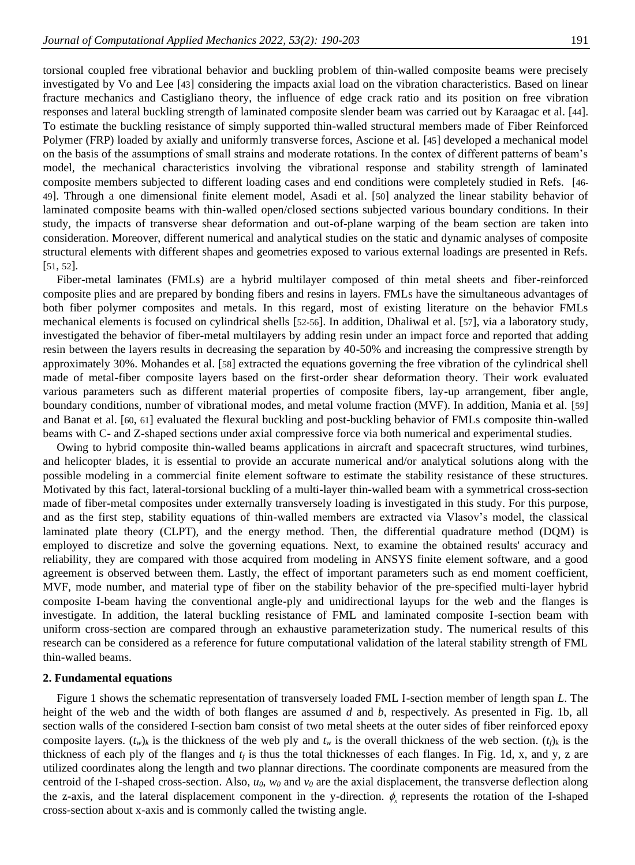torsional coupled free vibrational behavior and buckling problem of thin-walled composite beams were precisely investigated by Vo and Lee [[43](#page-12-2)] considering the impacts axial load on the vibration characteristics. Based on linear fracture mechanics and Castigliano theory, the influence of edge crack ratio and its position on free vibration responses and lateral buckling strength of laminated composite slender beam was carried out by Karaagac et al. [[44](#page-12-3)]. To estimate the buckling resistance of simply supported thin-walled structural members made of Fiber Reinforced Polymer (FRP) loaded by axially and uniformly transverse forces, Ascione et al. [[45](#page-12-4)] developed a mechanical model on the basis of the assumptions of small strains and moderate rotations. In the contex of different patterns of beam's model, the mechanical characteristics involving the vibrational response and stability strength of laminated composite members subjected to different loading cases and end conditions were completely studied in Refs. [[46-](#page-12-5) [49](#page-12-5)]. Through a one dimensional finite element model, Asadi et al. [[50](#page-12-6)] analyzed the linear stability behavior of laminated composite beams with thin-walled open/closed sections subjected various boundary conditions. In their study, the impacts of transverse shear deformation and out-of-plane warping of the beam section are taken into consideration. Moreover, different numerical and analytical studies on the static and dynamic analyses of composite structural elements with different shapes and geometries exposed to various external loadings are presented in Refs. [[51](#page-12-7), [52](#page-12-8)].

Fiber-metal laminates (FMLs) are a hybrid multilayer composed of thin metal sheets and fiber-reinforced composite plies and are prepared by bonding fibers and resins in layers. FMLs have the simultaneous advantages of both fiber polymer composites and metals. In this regard, most of existing literature on the behavior FMLs mechanical elements is focused on cylindrical shells [[52-56](#page-12-8)]. In addition, Dhaliwal et al. [[57](#page-13-0)], via a laboratory study, investigated the behavior of fiber-metal multilayers by adding resin under an impact force and reported that adding resin between the layers results in decreasing the separation by 40-50% and increasing the compressive strength by approximately 30%. Mohandes et al. [[58](#page-13-1)] extracted the equations governing the free vibration of the cylindrical shell made of metal-fiber composite layers based on the first-order shear deformation theory. Their work evaluated various parameters such as different material properties of composite fibers, lay-up arrangement, fiber angle, boundary conditions, number of vibrational modes, and metal volume fraction (MVF). In addition, Mania et al. [[59](#page-13-2)] and Banat et al. [[60](#page-13-3), [61](#page-13-4)] evaluated the flexural buckling and post-buckling behavior of FMLs composite thin-walled beams with C- and Z-shaped sections under axial compressive force via both numerical and experimental studies.

Owing to hybrid composite thin-walled beams applications in aircraft and spacecraft structures, wind turbines, and helicopter blades, it is essential to provide an accurate numerical and/or analytical solutions along with the possible modeling in a commercial finite element software to estimate the stability resistance of these structures. Motivated by this fact, lateral-torsional buckling of a multi-layer thin-walled beam with a symmetrical cross-section made of fiber-metal composites under externally transversely loading is investigated in this study. For this purpose, and as the first step, stability equations of thin-walled members are extracted via Vlasov's model, the classical laminated plate theory (CLPT), and the energy method. Then, the differential quadrature method (DQM) is employed to discretize and solve the governing equations. Next, to examine the obtained results' accuracy and reliability, they are compared with those acquired from modeling in ANSYS finite element software, and a good agreement is observed between them. Lastly, the effect of important parameters such as end moment coefficient, MVF, mode number, and material type of fiber on the stability behavior of the pre-specified multi-layer hybrid composite I-beam having the conventional angle-ply and unidirectional layups for the web and the flanges is investigate. In addition, the lateral buckling resistance of FML and laminated composite I-section beam with uniform cross-section are compared through an exhaustive parameterization study. The numerical results of this research can be considered as a reference for future computational validation of the lateral stability strength of FML thin-walled beams.

#### **2. Fundamental equations**

Figure 1 shows the schematic representation of transversely loaded FML I-section member of length span *L*. The height of the web and the width of both flanges are assumed *d* and *b*, respectively. As presented in Fig. 1b, all section walls of the considered I-section bam consist of two metal sheets at the outer sides of fiber reinforced epoxy composite layers.  $(t_w)$ *k* is the thickness of the web ply and  $t_w$  is the overall thickness of the web section.  $(t_f)$ *k* is the thickness of each ply of the flanges and  $t_f$  is thus the total thicknesses of each flanges. In Fig. 1d, x, and y, z are utilized coordinates along the length and two plannar directions. The coordinate components are measured from the centroid of the I-shaped cross-section. Also, *u0*, *w<sup>0</sup>* and *v<sup>0</sup>* are the axial displacement, the transverse deflection along the z-axis, and the lateral displacement component in the y-direction.  $\phi_x$  represents the rotation of the I-shaped cross-section about x-axis and is commonly called the twisting angle.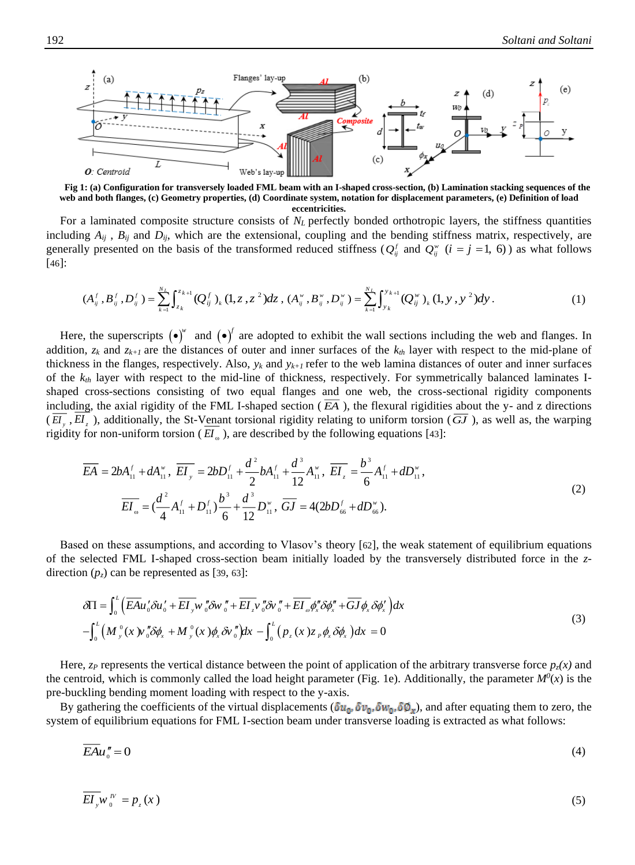

**Fig 1: (a) Configuration for transversely loaded FML beam with an I-shaped cross-section, (b) Lamination stacking sequences of the web and both flanges, (c) Geometry properties, (d) Coordinate system, notation for displacement parameters, (e) Definition of load eccentricities.**

For a laminated composite structure consists of *N<sup>L</sup>* perfectly bonded orthotropic layers, the stiffness quantities including  $A_{ij}$ ,  $B_{ij}$  and  $D_{ij}$ , which are the extensional, coupling and the bending stiffness matrix, respectively, are generally presented on the basis of the transformed reduced stiffness ( $Q_{ij}^f$  and  $Q_{ij}^w$  ( $i = j = 1, 6$ )) as what follows [[46](#page-12-5)]:

$$
(A_{ij}^f, B_{ij}^f, D_{ij}^f) = \sum_{k=1}^{N_L} \int_{z_k}^{z_{k+1}} (Q_{ij}^f)_k (1, z, z^2) dz, (A_{ij}^*, B_{ij}^*, D_{ij}^*) = \sum_{k=1}^{N_L} \int_{y_k}^{y_{k+1}} (Q_{ij}^*)_k (1, y, y^2) dy.
$$
 (1)

Here, the superscripts  $(\bullet)^{w}$  and  $(\bullet)^{f}$  are adopted to exhibit the wall sections including the web and flanges. In addition,  $z_k$  and  $z_{k+1}$  are the distances of outer and inner surfaces of the  $k_{th}$  layer with respect to the mid-plane of thickness in the flanges, respectively. Also,  $y_k$  and  $y_{k+1}$  refer to the web lamina distances of outer and inner surfaces of the *kth* layer with respect to the mid-line of thickness, respectively. For symmetrically balanced laminates Ishaped cross-sections consisting of two equal flanges and one web, the cross-sectional rigidity components including, the axial rigidity of the FML I-shaped section  $(EA)$ , the flexural rigidities about the y- and z directions  $(EI_y, EI_z)$ , additionally, the St-Venant torsional rigidity relating to uniform torsion  $(\overline{GI})$ , as well as, the warping rigidity for non-uniform torsion ( $EI_{\omega}$ ), are described by the following equations [[43](#page-12-2)]:

$$
\overline{EA} = 2bA_{11}^f + dA_{11}^w, \ \overline{EI_y} = 2bD_{11}^f + \frac{d^2}{2}bA_{11}^f + \frac{d^3}{12}A_{11}^w, \ \overline{EI_z} = \frac{b^3}{6}A_{11}^f + dD_{11}^w,
$$
\n
$$
\overline{EI_w} = (\frac{d^2}{4}A_{11}^f + D_{11}^f)\frac{b^3}{6} + \frac{d^3}{12}D_{11}^w, \ \overline{GI} = 4(2bD_{66}^f + dD_{66}^w).
$$
\n(2)

Based on these assumptions, and according to Vlasov's theory [[62](#page-13-5)], the weak statement of equilibrium equations of the selected FML I-shaped cross-section beam initially loaded by the transversely distributed force in the *z*direction  $(p_z)$  can be represented as [[39](#page-12-9), [63](#page-13-6)]:

$$
\delta\Pi = \int_0^L \left( \overline{EA} u'_0 \delta u'_0 + \overline{EI}_{y} w''_0 \delta w''_0 + \overline{EI}_{z} v''_0 \delta v''_0 + \overline{EI}_{\omega} \phi''_x \delta \phi''_x + \overline{GI} \phi_x \delta \phi'_x \right) dx
$$
  

$$
- \int_0^L \left( M_{y}^0(x) w''_0 \delta \phi_x + M_{y}^0(x) \phi_x \delta v''_0 \right) dx - \int_0^L \left( p_z(x) z_p \phi_x \delta \phi_x \right) dx = 0
$$
 (3)

Here,  $z_P$  represents the vertical distance between the point of application of the arbitrary transverse force  $p_z(x)$  and the centroid, which is commonly called the load height parameter (Fig. 1e). Additionally, the parameter  $M^0(x)$  is the pre-buckling bending moment loading with respect to the y-axis.

By gathering the coefficients of the virtual displacements ( $\delta u_0$ ,  $\delta v_0$ ,  $\delta w_0$ ,  $\delta \phi_x$ ), and after equating them to zero, the system of equilibrium equations for FML I-section beam under transverse loading is extracted as what follows:

$$
\overline{EA}u''_0 = 0\tag{4}
$$

$$
\overline{EI}_y w_0^N = p_z(x) \tag{5}
$$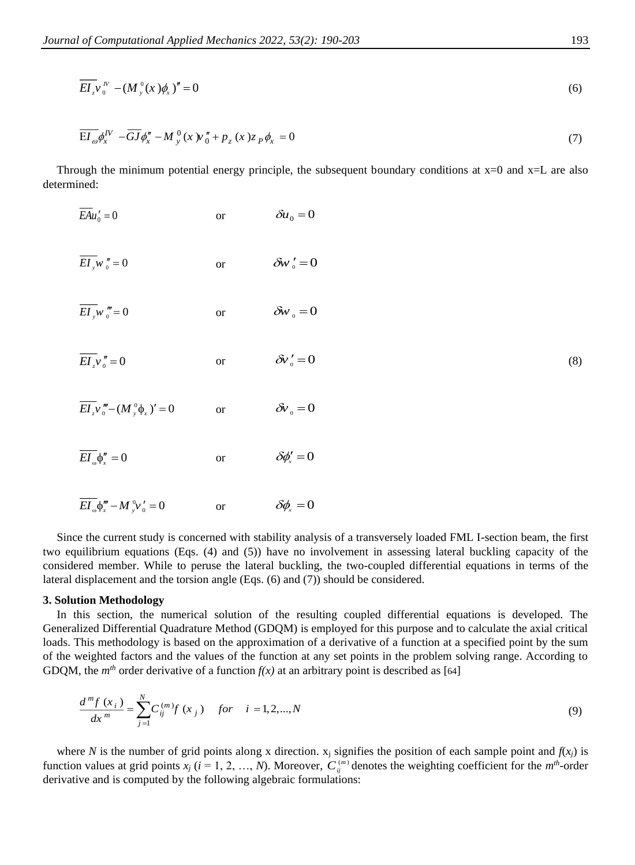$$
\overline{EI}_{z}v^{\prime\prime}_{0}-(M_{y}^{0}(x)\phi_{x})^{\prime\prime}=0
$$
\n
$$
\tag{6}
$$

$$
\overline{\mathbf{E}I_{\omega}}\phi_{x}^{IV} - \overline{GJ}\phi_{x}^{*} - M_{y}^{0}(x)w_{0}^{*} + p_{z}(x)z_{P}\phi_{x} = 0
$$
\n<sup>(7)</sup>

Through the minimum potential energy principle, the subsequent boundary conditions at  $x=0$  and  $x=L$  are also determined:

 $EAu'_{0} = 0$ or  $\delta u_0 = 0$ (8)  $EI_{y}w_{0}''=0$ or  $\delta w'_0 = 0$  $EI_{y}w_{0}'''=0$ or  $\delta w_{\scriptscriptstyle 0} = 0$  $EI_{z}v_{0}''=0$ or  $\delta v'_0 = 0$  $EI_x v''_0 - (M_y^0 \phi_x)' = 0$ or  $\delta v_{\rm o} = 0$  $EI_{\omega} \phi''_x = 0$ or  $\delta \phi_s' = 0$ 

$$
\overline{EI}_{\omega} \phi_x''' - M_{y}^0 \psi_0' = 0 \qquad \text{or} \qquad \delta \phi_x = 0
$$

Since the current study is concerned with stability analysis of a transversely loaded FML I-section beam, the first two equilibrium equations (Eqs. (4) and (5)) have no involvement in assessing lateral buckling capacity of the considered member. While to peruse the lateral buckling, the two-coupled differential equations in terms of the lateral displacement and the torsion angle (Eqs. (6) and (7)) should be considered.

#### **3. Solution Methodology**

In this section, the numerical solution of the resulting coupled differential equations is developed. The Generalized Differential Quadrature Method (GDQM) is employed for this purpose and to calculate the axial critical loads. This methodology is based on the approximation of a derivative of a function at a specified point by the sum of the weighted factors and the values of the function at any set points in the problem solving range. According to GDQM, the *m<sup>th</sup>* order derivative of a function  $f(x)$  at an arbitrary point is described as [[64](#page-13-7)]

$$
\frac{d^{m}f(x_{i})}{dx^{m}} = \sum_{j=1}^{N} C_{ij}^{(m)}f(x_{j}) \quad for \quad i = 1, 2, ..., N
$$
\n(9)

where *N* is the number of grid points along x direction.  $x_i$  signifies the position of each sample point and  $f(x_i)$  is function values at grid points  $x_j$  ( $i = 1, 2, ..., N$ ). Moreover,  $C_{ij}^{(m)}$  denotes the weighting coefficient for the  $m<sup>th</sup>$ -order derivative and is computed by the following algebraic formulations: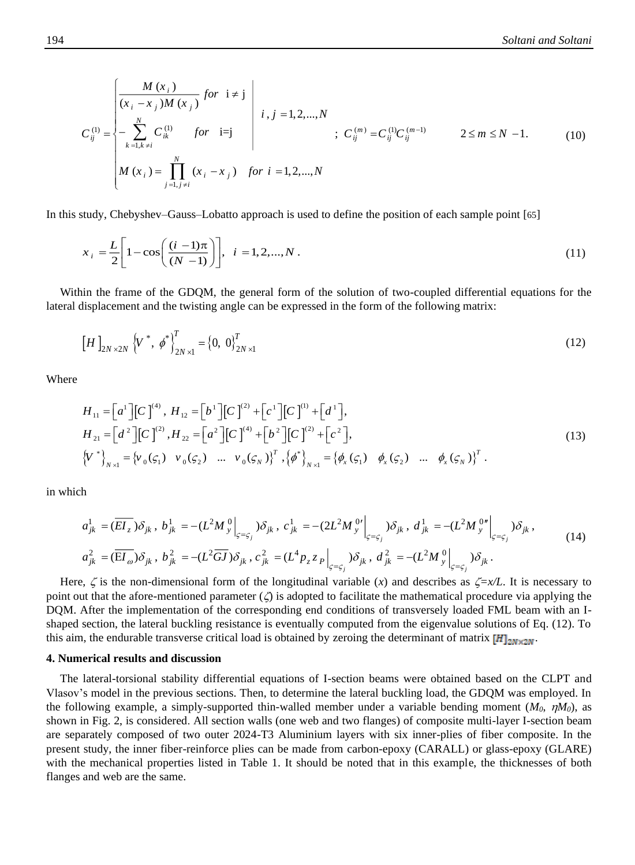$$
C_{ij}^{(1)} = \begin{cases} \frac{M(x_i)}{(x_i - x_j)M(x_j)} \text{ for } i \neq j \\ -\sum_{k=1, k \neq i}^{N} C_{ik}^{(1)} \text{ for } i = j \\ M(x_i) = \prod_{j=1, j \neq i}^{N} (x_i - x_j) \text{ for } i = 1, 2, ..., N \\ \end{cases} ; C_{ij}^{(m)} = C_{ij}^{(1)} C_{ij}^{(m-1)} \qquad 2 \leq m \leq N - 1.
$$
 (10)

In this study, Chebyshev–Gauss–Lobatto approach is used to define the position of each sample point [[65](#page-13-8)]

$$
x_{i} = \frac{L}{2} \left[ 1 - \cos\left(\frac{(i-1)\pi}{(N-1)}\right) \right], \quad i = 1, 2, ..., N.
$$
 (11)

Within the frame of the GDQM, the general form of the solution of two-coupled differential equations for the lateral displacement and the twisting angle can be expressed in the form of the following matrix:

$$
\left[H\right]_{2N\times 2N} \left\langle V^*, \phi^* \right\rangle_{2N\times 1}^T = \left\{0, 0\right\}_{2N\times 1}^T
$$
 (12)

Where

$$
H_{11} = \left[a^{1}\right]\left[C\right]^{(4)}, H_{12} = \left[b^{1}\right]\left[C\right]^{(2)} + \left[c^{1}\right]\left[C\right]^{(1)} + \left[d^{1}\right],
$$
\n
$$
H_{21} = \left[d^{2}\right]\left[C\right]^{(2)}, H_{22} = \left[a^{2}\right]\left[C\right]^{(4)} + \left[b^{2}\right]\left[C\right]^{(2)} + \left[c^{2}\right],
$$
\n
$$
\left\{V^{*}\right\}_{N \times 1} = \left\{v_{0}(\varsigma_{1}) \quad v_{0}(\varsigma_{2}) \quad \dots \quad v_{0}(\varsigma_{N})\right\}^{T}, \left\{\phi^{*}\right\}_{N \times 1} = \left\{\phi_{x}(\varsigma_{1}) \quad \phi_{x}(\varsigma_{2}) \quad \dots \quad \phi_{x}(\varsigma_{N})\right\}^{T}.
$$
\n
$$
(13)
$$

in which

$$
a_{jk}^{1} = (\overline{EI_{z}}) \delta_{jk}, b_{jk}^{1} = -(L^{2}M_{y}^{0}|_{\zeta = \zeta_{j}}) \delta_{jk}, c_{jk}^{1} = -(2L^{2}M_{y}^{0} \Big|_{\zeta = \zeta_{j}}) \delta_{jk}, d_{jk}^{1} = -(L^{2}M_{y}^{0} \Big|_{\zeta = \zeta_{j}}) \delta_{jk},
$$
  
\n
$$
a_{jk}^{2} = (\overline{EI_{\omega}}) \delta_{jk}, b_{jk}^{2} = -(L^{2}\overline{GJ}) \delta_{jk}, c_{jk}^{2} = (L^{4}p_{z}z_{P}|_{\zeta = \zeta_{j}}) \delta_{jk}, d_{jk}^{2} = -(L^{2}M_{y}^{0}|_{\zeta = \zeta_{j}}) \delta_{jk}.
$$
\n(14)

Here,  $\zeta$  is the non-dimensional form of the longitudinal variable (*x*) and describes as  $\zeta = x/L$ . It is necessary to point out that the afore-mentioned parameter  $(\zeta)$  is adopted to facilitate the mathematical procedure via applying the DQM. After the implementation of the corresponding end conditions of transversely loaded FML beam with an Ishaped section, the lateral buckling resistance is eventually computed from the eigenvalue solutions of Eq. (12). To this aim, the endurable transverse critical load is obtained by zeroing the determinant of matrix  $[H]_{2N \times 2N}$ .

#### **4. Numerical results and discussion**

The lateral-torsional stability differential equations of I-section beams were obtained based on the CLPT and Vlasov's model in the previous sections. Then, to determine the lateral buckling load, the GDQM was employed. In the following example, a simply-supported thin-walled member under a variable bending moment  $(M_0, \eta M_0)$ , as shown in Fig. 2, is considered. All section walls (one web and two flanges) of composite multi-layer I-section beam are separately composed of two outer 2024-T3 Aluminium layers with six inner-plies of fiber composite. In the present study, the inner fiber-reinforce plies can be made from carbon-epoxy (CARALL) or glass-epoxy (GLARE) with the mechanical properties listed in Table 1. It should be noted that in this example, the thicknesses of both flanges and web are the same.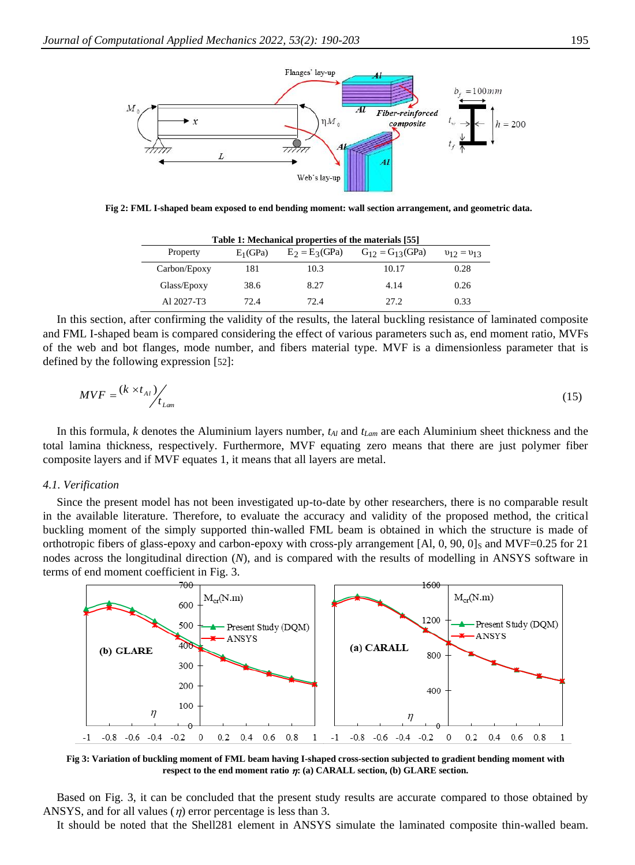

**Fig 2: FML I-shaped beam exposed to end bending moment: wall section arrangement, and geometric data.**

| Table 1: Mechanical properties of the materials [55] |             |                  |                         |                   |  |  |
|------------------------------------------------------|-------------|------------------|-------------------------|-------------------|--|--|
| Property                                             | $E_1$ (GPa) | $E_2 = E_3(GPa)$ | $G_{12} = G_{13}$ (GPa) | $v_{12} = v_{13}$ |  |  |
| Carbon/Epoxy                                         | 181         | 10.3             | 10.17                   | 0.28              |  |  |
| Glass/Epoxy                                          | 38.6        | 8.27             | 4.14                    | 0.26              |  |  |
| A1 2027-T3                                           | 72.4        | 72.4             | 27.2                    | 0.33              |  |  |

In this section, after confirming the validity of the results, the lateral buckling resistance of laminated composite and FML I-shaped beam is compared considering the effect of various parameters such as, end moment ratio, MVFs of the web and bot flanges, mode number, and fibers material type. MVF is a dimensionless parameter that is defined by the following expression [[52](#page-12-8)]:

$$
MVF = \frac{(k \times t_{Al})}{t_{Lam}} \tag{15}
$$

In this formula, *k* denotes the Aluminium layers number, *tAl* and *tLam* are each Aluminium sheet thickness and the total lamina thickness, respectively. Furthermore, MVF equating zero means that there are just polymer fiber composite layers and if MVF equates 1, it means that all layers are metal.

#### *4.1. Verification*

Since the present model has not been investigated up-to-date by other researchers, there is no comparable result in the available literature. Therefore, to evaluate the accuracy and validity of the proposed method, the critical buckling moment of the simply supported thin-walled FML beam is obtained in which the structure is made of orthotropic fibers of glass-epoxy and carbon-epoxy with cross-ply arrangement [Al,  $0, 90, 0$ ]s and MVF=0.25 for 21 nodes across the longitudinal direction (*N*), and is compared with the results of modelling in ANSYS software in terms of end moment coefficient in Fig. 3.



**Fig 3: Variation of buckling moment of FML beam having I-shaped cross-section subjected to gradient bending moment with respect to the end moment ratio : (a) CARALL section, (b) GLARE section.**

Based on Fig. 3, it can be concluded that the present study results are accurate compared to those obtained by ANSYS, and for all values  $(\eta)$  error percentage is less than 3.

It should be noted that the Shell281 element in ANSYS simulate the laminated composite thin-walled beam.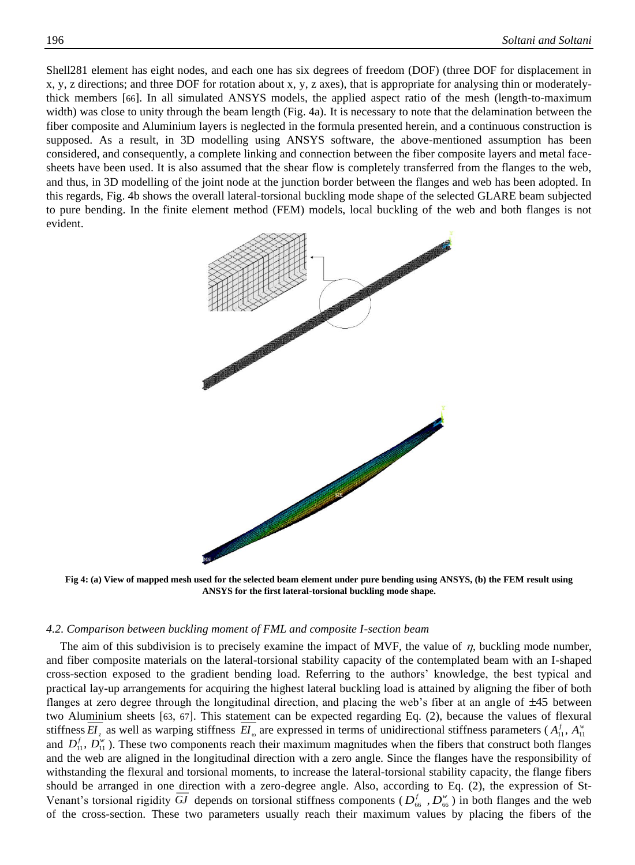Shell281 element has eight nodes, and each one has six degrees of freedom (DOF) (three DOF for displacement in x, y, z directions; and three DOF for rotation about x, y, z axes), that is appropriate for analysing thin or moderatelythick members [[66](#page-13-9)]. In all simulated ANSYS models, the applied aspect ratio of the mesh (length-to-maximum width) was close to unity through the beam length (Fig. 4a). It is necessary to note that the delamination between the fiber composite and Aluminium layers is neglected in the formula presented herein, and a continuous construction is supposed. As a result, in 3D modelling using ANSYS software, the above-mentioned assumption has been considered, and consequently, a complete linking and connection between the fiber composite layers and metal facesheets have been used. It is also assumed that the shear flow is completely transferred from the flanges to the web, and thus, in 3D modelling of the joint node at the junction border between the flanges and web has been adopted. In this regards, Fig. 4b shows the overall lateral-torsional buckling mode shape of the selected GLARE beam subjected to pure bending. In the finite element method (FEM) models, local buckling of the web and both flanges is not evident.



**Fig 4: (a) View of mapped mesh used for the selected beam element under pure bending using ANSYS, (b) the FEM result using ANSYS for the first lateral-torsional buckling mode shape.**

#### *4.2. Comparison between buckling moment of FML and composite I-section beam*

The aim of this subdivision is to precisely examine the impact of MVF, the value of  $\eta$ , buckling mode number, and fiber composite materials on the lateral-torsional stability capacity of the contemplated beam with an I-shaped cross-section exposed to the gradient bending load. Referring to the authors' knowledge, the best typical and practical lay-up arrangements for acquiring the highest lateral buckling load is attained by aligning the fiber of both flanges at zero degree through the longitudinal direction, and placing the web's fiber at an angle of  $\pm 45$  between two Aluminium sheets [[63](#page-13-6), [67](#page-13-10)]. This statement can be expected regarding Eq. (2), because the values of flexural stiffness  $EI_z$  as well as warping stiffness  $EI_{\omega}$  are expressed in terms of unidirectional stiffness parameters ( $A_{11}^f$ ,  $A_{11}^w$ and  $D_{11}^f, D_{11}^w$ ). These two components reach their maximum magnitudes when the fibers that construct both flanges and the web are aligned in the longitudinal direction with a zero angle. Since the flanges have the responsibility of withstanding the flexural and torsional moments, to increase the lateral-torsional stability capacity, the flange fibers should be arranged in one direction with a zero-degree angle. Also, according to Eq. (2), the expression of St-Venant's torsional rigidity GJ depends on torsional stiffness components ( $D_{66}^f$ ,  $D_{66}^w$ ) in both flanges and the web of the cross-section. These two parameters usually reach their maximum values by placing the fibers of the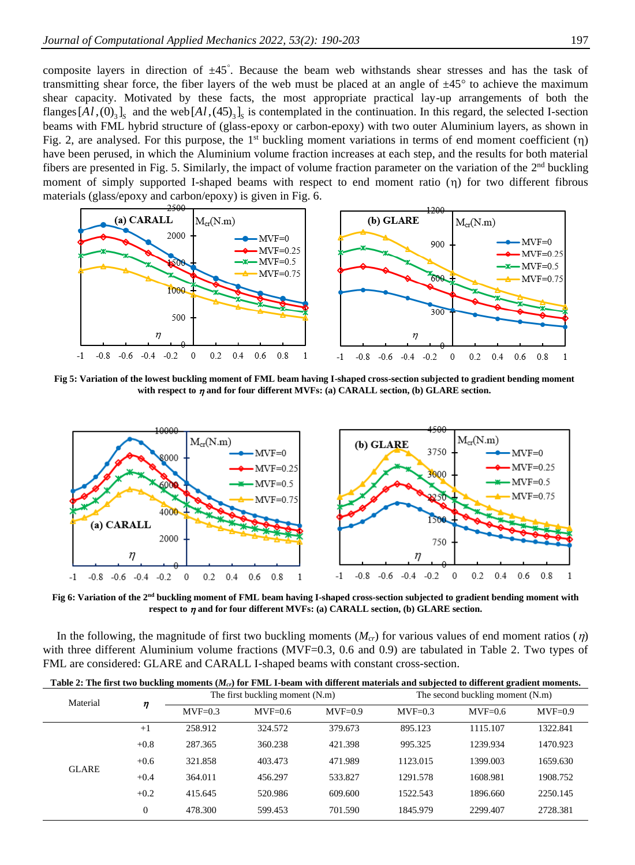composite layers in direction of ±45 . Because the beam web withstands shear stresses and has the task of transmitting shear force, the fiber layers of the web must be placed at an angle of  $\pm 45^\circ$  to achieve the maximum shear capacity. Motivated by these facts, the most appropriate practical lay-up arrangements of both the flanges  $[Al, (0)$ <sub>3</sub> $]_s$  and the web  $[Al, (45)$ <sub>3</sub> $]_s$  is contemplated in the continuation. In this regard, the selected I-section beams with FML hybrid structure of (glass-epoxy or carbon-epoxy) with two outer Aluminium layers, as shown in Fig. 2, are analysed. For this purpose, the  $1<sup>st</sup>$  buckling moment variations in terms of end moment coefficient  $(η)$ have been perused, in which the Aluminium volume fraction increases at each step, and the results for both material fibers are presented in Fig. 5. Similarly, the impact of volume fraction parameter on the variation of the  $2<sup>nd</sup>$  buckling moment of simply supported I-shaped beams with respect to end moment ratio  $(\eta)$  for two different fibrous materials (glass/epoxy and carbon/epoxy) is given in Fig. 6.



**Fig 5: Variation of the lowest buckling moment of FML beam having I-shaped cross-section subjected to gradient bending moment**  with respect to  $\eta$  and for four different MVFs: (a) CARALL section, (b) GLARE section.



**Fig 6: Variation of the 2nd buckling moment of FML beam having I-shaped cross-section subjected to gradient bending moment with**  respect to  $\eta$  and for four different MVFs: (a) CARALL section, (b) GLARE section.

In the following, the magnitude of first two buckling moments  $(M_{cr})$  for various values of end moment ratios  $(\eta)$ with three different Aluminium volume fractions (MVF=0.3, 0.6 and 0.9) are tabulated in Table 2. Two types of FML are considered: GLARE and CARALL I-shaped beams with constant cross-section.

| Table 2: The first two buckling moments ( $M_{cr}$ ) for FML I-beam with different materials and subjected to different gradient moments. |              |                                 |           |           |                                  |           |           |  |
|-------------------------------------------------------------------------------------------------------------------------------------------|--------------|---------------------------------|-----------|-----------|----------------------------------|-----------|-----------|--|
| Material                                                                                                                                  | η            | The first buckling moment (N.m) |           |           | The second buckling moment (N.m) |           |           |  |
|                                                                                                                                           |              | $MVF=0.3$                       | $MVF=0.6$ | $MVF=0.9$ | $MVF=0.3$                        | $MVF=0.6$ | $MVF=0.9$ |  |
| <b>GLARE</b>                                                                                                                              | $+1$         | 258.912                         | 324.572   | 379.673   | 895.123                          | 1115.107  | 1322.841  |  |
|                                                                                                                                           | $+0.8$       | 287.365                         | 360.238   | 421.398   | 995.325                          | 1239.934  | 1470.923  |  |
|                                                                                                                                           | $+0.6$       | 321.858                         | 403.473   | 471.989   | 1123.015                         | 1399.003  | 1659.630  |  |
|                                                                                                                                           | $+0.4$       | 364.011                         | 456.297   | 533.827   | 1291.578                         | 1608.981  | 1908.752  |  |
|                                                                                                                                           | $+0.2$       | 415.645                         | 520.986   | 609.600   | 1522.543                         | 1896.660  | 2250.145  |  |
|                                                                                                                                           | $\mathbf{0}$ | 478.300                         | 599.453   | 701.590   | 1845.979                         | 2299.407  | 2728.381  |  |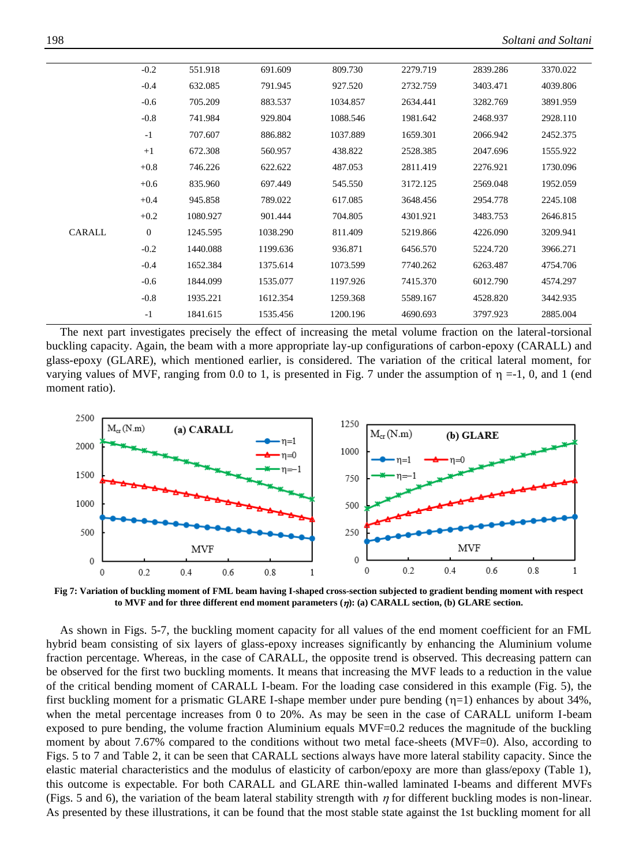|        | $-0.2$       | 551.918  | 691.609  | 809.730  | 2279.719 | 2839.286 | 3370.022 |
|--------|--------------|----------|----------|----------|----------|----------|----------|
|        | $-0.4$       | 632.085  | 791.945  | 927.520  | 2732.759 | 3403.471 | 4039.806 |
|        | $-0.6$       | 705.209  | 883.537  | 1034.857 | 2634.441 | 3282.769 | 3891.959 |
|        | $-0.8$       | 741.984  | 929.804  | 1088.546 | 1981.642 | 2468.937 | 2928.110 |
|        | $-1$         | 707.607  | 886.882  | 1037.889 | 1659.301 | 2066.942 | 2452.375 |
|        | $+1$         | 672.308  | 560.957  | 438.822  | 2528.385 | 2047.696 | 1555.922 |
|        | $+0.8$       | 746.226  | 622.622  | 487.053  | 2811.419 | 2276.921 | 1730.096 |
|        | $+0.6$       | 835.960  | 697.449  | 545.550  | 3172.125 | 2569.048 | 1952.059 |
|        | $+0.4$       | 945.858  | 789.022  | 617.085  | 3648.456 | 2954.778 | 2245.108 |
|        | $+0.2$       | 1080.927 | 901.444  | 704.805  | 4301.921 | 3483.753 | 2646.815 |
| CARALL | $\mathbf{0}$ | 1245.595 | 1038.290 | 811.409  | 5219.866 | 4226.090 | 3209.941 |
|        | $-0.2$       | 1440.088 | 1199.636 | 936.871  | 6456.570 | 5224.720 | 3966.271 |
|        | $-0.4$       | 1652.384 | 1375.614 | 1073.599 | 7740.262 | 6263.487 | 4754.706 |
|        | $-0.6$       | 1844.099 | 1535.077 | 1197.926 | 7415.370 | 6012.790 | 4574.297 |
|        | $-0.8$       | 1935.221 | 1612.354 | 1259.368 | 5589.167 | 4528.820 | 3442.935 |
|        | $-1$         | 1841.615 | 1535.456 | 1200.196 | 4690.693 | 3797.923 | 2885.004 |
|        |              |          |          |          |          |          |          |

The next part investigates precisely the effect of increasing the metal volume fraction on the lateral-torsional buckling capacity. Again, the beam with a more appropriate lay-up configurations of carbon-epoxy (CARALL) and glass-epoxy (GLARE), which mentioned earlier, is considered. The variation of the critical lateral moment, for varying values of MVF, ranging from 0.0 to 1, is presented in Fig. 7 under the assumption of  $\eta = -1$ , 0, and 1 (end moment ratio).



**Fig 7: Variation of buckling moment of FML beam having I-shaped cross-section subjected to gradient bending moment with respect to MVF and for three different end moment parameters (): (a) CARALL section, (b) GLARE section.**

As shown in Figs. 5-7, the buckling moment capacity for all values of the end moment coefficient for an FML hybrid beam consisting of six layers of glass-epoxy increases significantly by enhancing the Aluminium volume fraction percentage. Whereas, in the case of CARALL, the opposite trend is observed. This decreasing pattern can be observed for the first two buckling moments. It means that increasing the MVF leads to a reduction in the value of the critical bending moment of CARALL I-beam. For the loading case considered in this example (Fig. 5), the first buckling moment for a prismatic GLARE I-shape member under pure bending  $(\eta=1)$  enhances by about 34%, when the metal percentage increases from 0 to 20%. As may be seen in the case of CARALL uniform I-beam exposed to pure bending, the volume fraction Aluminium equals MVF=0.2 reduces the magnitude of the buckling moment by about 7.67% compared to the conditions without two metal face-sheets (MVF=0). Also, according to Figs. 5 to 7 and Table 2, it can be seen that CARALL sections always have more lateral stability capacity. Since the elastic material characteristics and the modulus of elasticity of carbon/epoxy are more than glass/epoxy (Table 1), this outcome is expectable. For both CARALL and GLARE thin-walled laminated I-beams and different MVFs (Figs. 5 and 6), the variation of the beam lateral stability strength with  $\eta$  for different buckling modes is non-linear. As presented by these illustrations, it can be found that the most stable state against the 1st buckling moment for all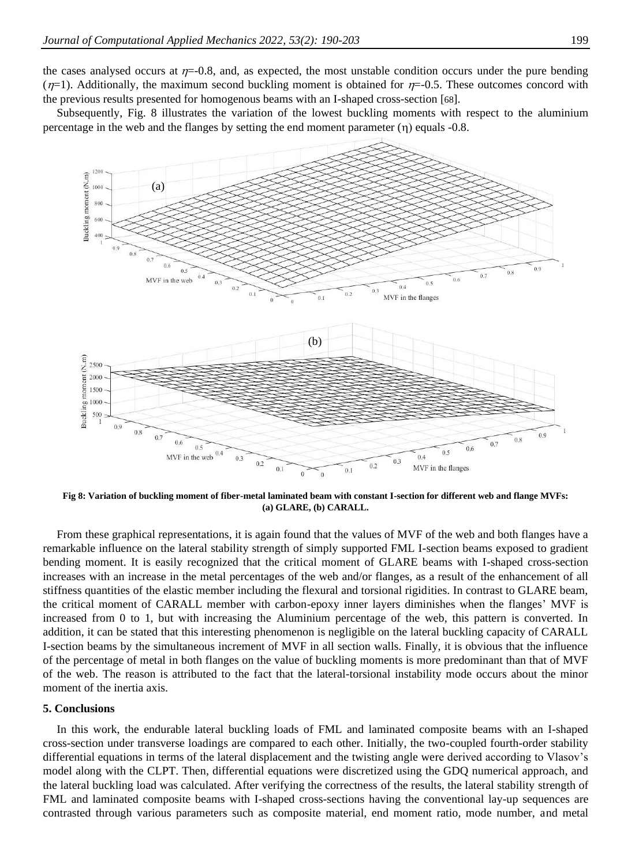the cases analysed occurs at  $\eta$ =-0.8, and, as expected, the most unstable condition occurs under the pure bending  $(\eta=1)$ . Additionally, the maximum second buckling moment is obtained for  $\eta=0.5$ . These outcomes concord with the previous results presented for homogenous beams with an I-shaped cross-section [[68](#page-13-11)].

Subsequently, Fig. 8 illustrates the variation of the lowest buckling moments with respect to the aluminium percentage in the web and the flanges by setting the end moment parameter  $(\eta)$  equals -0.8.



**Fig 8: Variation of buckling moment of fiber-metal laminated beam with constant I-section for different web and flange MVFs: (a) GLARE, (b) CARALL.**

From these graphical representations, it is again found that the values of MVF of the web and both flanges have a remarkable influence on the lateral stability strength of simply supported FML I-section beams exposed to gradient bending moment. It is easily recognized that the critical moment of GLARE beams with I-shaped cross-section increases with an increase in the metal percentages of the web and/or flanges, as a result of the enhancement of all stiffness quantities of the elastic member including the flexural and torsional rigidities. In contrast to GLARE beam, the critical moment of CARALL member with carbon-epoxy inner layers diminishes when the flanges' MVF is increased from 0 to 1, but with increasing the Aluminium percentage of the web, this pattern is converted. In addition, it can be stated that this interesting phenomenon is negligible on the lateral buckling capacity of CARALL I-section beams by the simultaneous increment of MVF in all section walls. Finally, it is obvious that the influence of the percentage of metal in both flanges on the value of buckling moments is more predominant than that of MVF of the web. The reason is attributed to the fact that the lateral-torsional instability mode occurs about the minor moment of the inertia axis.

#### **5. Conclusions**

In this work, the endurable lateral buckling loads of FML and laminated composite beams with an I-shaped cross-section under transverse loadings are compared to each other. Initially, the two-coupled fourth-order stability differential equations in terms of the lateral displacement and the twisting angle were derived according to Vlasov's model along with the CLPT. Then, differential equations were discretized using the GDQ numerical approach, and the lateral buckling load was calculated. After verifying the correctness of the results, the lateral stability strength of FML and laminated composite beams with I-shaped cross-sections having the conventional lay-up sequences are contrasted through various parameters such as composite material, end moment ratio, mode number, and metal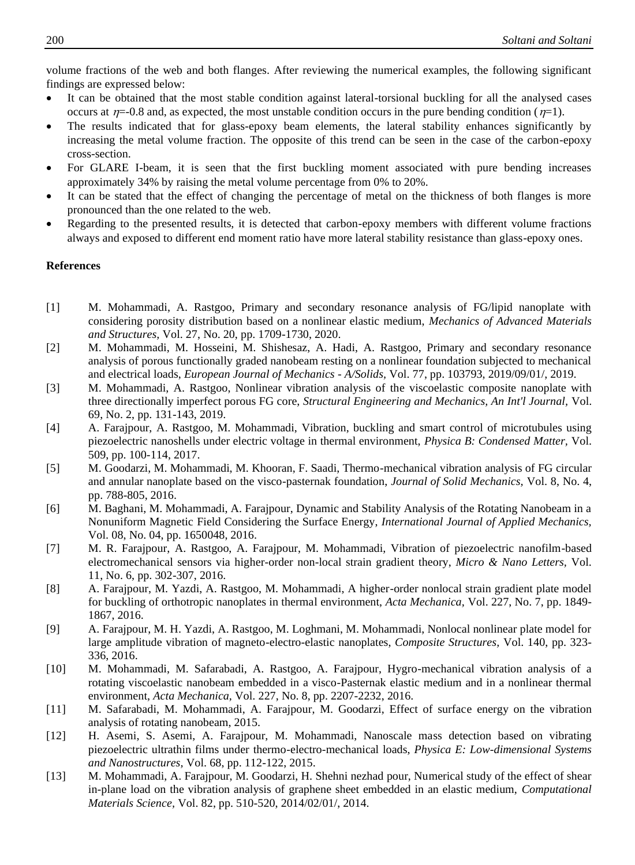volume fractions of the web and both flanges. After reviewing the numerical examples, the following significant findings are expressed below:

- It can be obtained that the most stable condition against lateral-torsional buckling for all the analysed cases occurs at  $\eta$ =-0.8 and, as expected, the most unstable condition occurs in the pure bending condition ( $\eta$ =1).
- The results indicated that for glass-epoxy beam elements, the lateral stability enhances significantly by increasing the metal volume fraction. The opposite of this trend can be seen in the case of the carbon-epoxy cross-section.
- For GLARE I-beam, it is seen that the first buckling moment associated with pure bending increases approximately 34% by raising the metal volume percentage from 0% to 20%.
- It can be stated that the effect of changing the percentage of metal on the thickness of both flanges is more pronounced than the one related to the web.
- Regarding to the presented results, it is detected that carbon-epoxy members with different volume fractions always and exposed to different end moment ratio have more lateral stability resistance than glass-epoxy ones.

## **References**

- <span id="page-10-0"></span>[1] M. Mohammadi, A. Rastgoo, Primary and secondary resonance analysis of FG/lipid nanoplate with considering porosity distribution based on a nonlinear elastic medium, *Mechanics of Advanced Materials and Structures,* Vol. 27, No. 20, pp. 1709-1730, 2020.
- [2] M. Mohammadi, M. Hosseini, M. Shishesaz, A. Hadi, A. Rastgoo, Primary and secondary resonance analysis of porous functionally graded nanobeam resting on a nonlinear foundation subjected to mechanical and electrical loads, *European Journal of Mechanics - A/Solids,* Vol. 77, pp. 103793, 2019/09/01/, 2019.
- [3] M. Mohammadi, A. Rastgoo, Nonlinear vibration analysis of the viscoelastic composite nanoplate with three directionally imperfect porous FG core, *Structural Engineering and Mechanics, An Int'l Journal,* Vol. 69, No. 2, pp. 131-143, 2019.
- [4] A. Farajpour, A. Rastgoo, M. Mohammadi, Vibration, buckling and smart control of microtubules using piezoelectric nanoshells under electric voltage in thermal environment, *Physica B: Condensed Matter,* Vol. 509, pp. 100-114, 2017.
- [5] M. Goodarzi, M. Mohammadi, M. Khooran, F. Saadi, Thermo-mechanical vibration analysis of FG circular and annular nanoplate based on the visco-pasternak foundation, *Journal of Solid Mechanics,* Vol. 8, No. 4, pp. 788-805, 2016.
- [6] M. Baghani, M. Mohammadi, A. Farajpour, Dynamic and Stability Analysis of the Rotating Nanobeam in a Nonuniform Magnetic Field Considering the Surface Energy, *International Journal of Applied Mechanics,* Vol. 08, No. 04, pp. 1650048, 2016.
- [7] M. R. Farajpour, A. Rastgoo, A. Farajpour, M. Mohammadi, Vibration of piezoelectric nanofilm-based electromechanical sensors via higher-order non-local strain gradient theory, *Micro & Nano Letters,* Vol. 11, No. 6, pp. 302-307, 2016.
- [8] A. Farajpour, M. Yazdi, A. Rastgoo, M. Mohammadi, A higher-order nonlocal strain gradient plate model for buckling of orthotropic nanoplates in thermal environment, *Acta Mechanica,* Vol. 227, No. 7, pp. 1849- 1867, 2016.
- [9] A. Farajpour, M. H. Yazdi, A. Rastgoo, M. Loghmani, M. Mohammadi, Nonlocal nonlinear plate model for large amplitude vibration of magneto-electro-elastic nanoplates, *Composite Structures,* Vol. 140, pp. 323- 336, 2016.
- [10] M. Mohammadi, M. Safarabadi, A. Rastgoo, A. Farajpour, Hygro-mechanical vibration analysis of a rotating viscoelastic nanobeam embedded in a visco-Pasternak elastic medium and in a nonlinear thermal environment, *Acta Mechanica,* Vol. 227, No. 8, pp. 2207-2232, 2016.
- [11] M. Safarabadi, M. Mohammadi, A. Farajpour, M. Goodarzi, Effect of surface energy on the vibration analysis of rotating nanobeam, 2015.
- [12] H. Asemi, S. Asemi, A. Farajpour, M. Mohammadi, Nanoscale mass detection based on vibrating piezoelectric ultrathin films under thermo-electro-mechanical loads, *Physica E: Low-dimensional Systems and Nanostructures,* Vol. 68, pp. 112-122, 2015.
- [13] M. Mohammadi, A. Farajpour, M. Goodarzi, H. Shehni nezhad pour, Numerical study of the effect of shear in-plane load on the vibration analysis of graphene sheet embedded in an elastic medium, *Computational Materials Science,* Vol. 82, pp. 510-520, 2014/02/01/, 2014.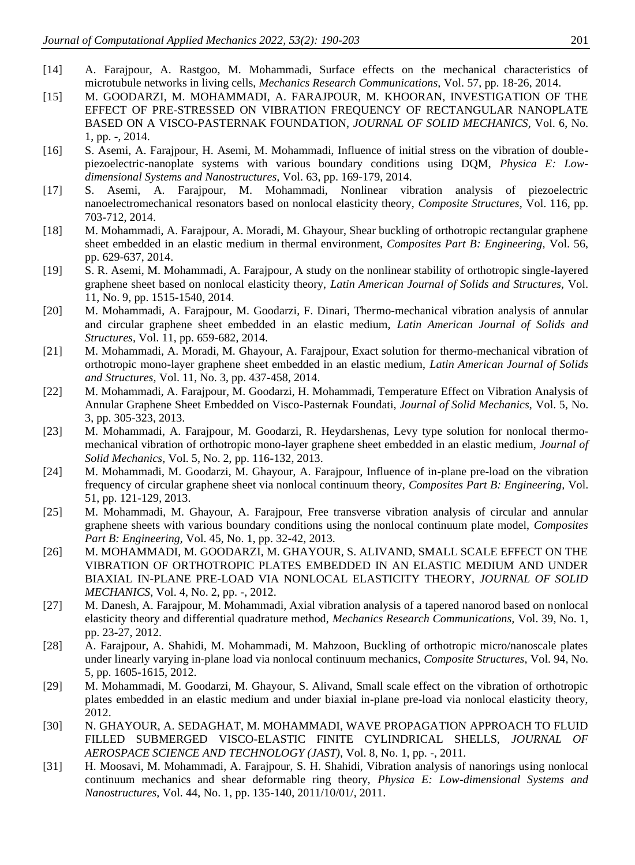- [14] A. Farajpour, A. Rastgoo, M. Mohammadi, Surface effects on the mechanical characteristics of microtubule networks in living cells, *Mechanics Research Communications,* Vol. 57, pp. 18-26, 2014.
- [15] M. GOODARZI, M. MOHAMMADI, A. FARAJPOUR, M. KHOORAN, INVESTIGATION OF THE EFFECT OF PRE-STRESSED ON VIBRATION FREQUENCY OF RECTANGULAR NANOPLATE BASED ON A VISCO-PASTERNAK FOUNDATION, *JOURNAL OF SOLID MECHANICS,* Vol. 6, No. 1, pp. -, 2014.
- [16] S. Asemi, A. Farajpour, H. Asemi, M. Mohammadi, Influence of initial stress on the vibration of doublepiezoelectric-nanoplate systems with various boundary conditions using DQM, *Physica E: Lowdimensional Systems and Nanostructures,* Vol. 63, pp. 169-179, 2014.
- [17] S. Asemi, A. Farajpour, M. Mohammadi, Nonlinear vibration analysis of piezoelectric nanoelectromechanical resonators based on nonlocal elasticity theory, *Composite Structures,* Vol. 116, pp. 703-712, 2014.
- [18] M. Mohammadi, A. Farajpour, A. Moradi, M. Ghayour, Shear buckling of orthotropic rectangular graphene sheet embedded in an elastic medium in thermal environment, *Composites Part B: Engineering,* Vol. 56, pp. 629-637, 2014.
- [19] S. R. Asemi, M. Mohammadi, A. Farajpour, A study on the nonlinear stability of orthotropic single-layered graphene sheet based on nonlocal elasticity theory, *Latin American Journal of Solids and Structures,* Vol. 11, No. 9, pp. 1515-1540, 2014.
- [20] M. Mohammadi, A. Farajpour, M. Goodarzi, F. Dinari, Thermo-mechanical vibration analysis of annular and circular graphene sheet embedded in an elastic medium, *Latin American Journal of Solids and Structures,* Vol. 11, pp. 659-682, 2014.
- [21] M. Mohammadi, A. Moradi, M. Ghayour, A. Farajpour, Exact solution for thermo-mechanical vibration of orthotropic mono-layer graphene sheet embedded in an elastic medium, *Latin American Journal of Solids and Structures,* Vol. 11, No. 3, pp. 437-458, 2014.
- [22] M. Mohammadi, A. Farajpour, M. Goodarzi, H. Mohammadi, Temperature Effect on Vibration Analysis of Annular Graphene Sheet Embedded on Visco-Pasternak Foundati, *Journal of Solid Mechanics,* Vol. 5, No. 3, pp. 305-323, 2013.
- [23] M. Mohammadi, A. Farajpour, M. Goodarzi, R. Heydarshenas, Levy type solution for nonlocal thermomechanical vibration of orthotropic mono-layer graphene sheet embedded in an elastic medium, *Journal of Solid Mechanics,* Vol. 5, No. 2, pp. 116-132, 2013.
- [24] M. Mohammadi, M. Goodarzi, M. Ghayour, A. Farajpour, Influence of in-plane pre-load on the vibration frequency of circular graphene sheet via nonlocal continuum theory, *Composites Part B: Engineering,* Vol. 51, pp. 121-129, 2013.
- [25] M. Mohammadi, M. Ghayour, A. Farajpour, Free transverse vibration analysis of circular and annular graphene sheets with various boundary conditions using the nonlocal continuum plate model, *Composites Part B: Engineering,* Vol. 45, No. 1, pp. 32-42, 2013.
- [26] M. MOHAMMADI, M. GOODARZI, M. GHAYOUR, S. ALIVAND, SMALL SCALE EFFECT ON THE VIBRATION OF ORTHOTROPIC PLATES EMBEDDED IN AN ELASTIC MEDIUM AND UNDER BIAXIAL IN-PLANE PRE-LOAD VIA NONLOCAL ELASTICITY THEORY, *JOURNAL OF SOLID MECHANICS,* Vol. 4, No. 2, pp. -, 2012.
- [27] M. Danesh, A. Farajpour, M. Mohammadi, Axial vibration analysis of a tapered nanorod based on nonlocal elasticity theory and differential quadrature method, *Mechanics Research Communications,* Vol. 39, No. 1, pp. 23-27, 2012.
- [28] A. Farajpour, A. Shahidi, M. Mohammadi, M. Mahzoon, Buckling of orthotropic micro/nanoscale plates under linearly varying in-plane load via nonlocal continuum mechanics, *Composite Structures,* Vol. 94, No. 5, pp. 1605-1615, 2012.
- [29] M. Mohammadi, M. Goodarzi, M. Ghayour, S. Alivand, Small scale effect on the vibration of orthotropic plates embedded in an elastic medium and under biaxial in-plane pre-load via nonlocal elasticity theory, 2012.
- [30] N. GHAYOUR, A. SEDAGHAT, M. MOHAMMADI, WAVE PROPAGATION APPROACH TO FLUID FILLED SUBMERGED VISCO-ELASTIC FINITE CYLINDRICAL SHELLS, *JOURNAL OF AEROSPACE SCIENCE AND TECHNOLOGY (JAST),* Vol. 8, No. 1, pp. -, 2011.
- [31] H. Moosavi, M. Mohammadi, A. Farajpour, S. H. Shahidi, Vibration analysis of nanorings using nonlocal continuum mechanics and shear deformable ring theory, *Physica E: Low-dimensional Systems and Nanostructures,* Vol. 44, No. 1, pp. 135-140, 2011/10/01/, 2011.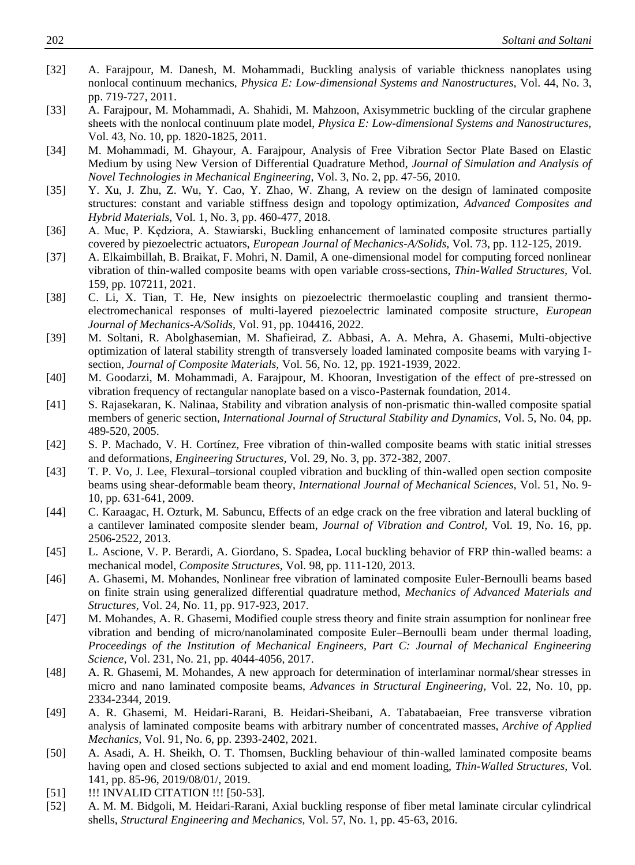- [32] A. Farajpour, M. Danesh, M. Mohammadi, Buckling analysis of variable thickness nanoplates using nonlocal continuum mechanics, *Physica E: Low-dimensional Systems and Nanostructures,* Vol. 44, No. 3, pp. 719-727, 2011.
- [33] A. Farajpour, M. Mohammadi, A. Shahidi, M. Mahzoon, Axisymmetric buckling of the circular graphene sheets with the nonlocal continuum plate model, *Physica E: Low-dimensional Systems and Nanostructures,* Vol. 43, No. 10, pp. 1820-1825, 2011.
- [34] M. Mohammadi, M. Ghayour, A. Farajpour, Analysis of Free Vibration Sector Plate Based on Elastic Medium by using New Version of Differential Quadrature Method, *Journal of Simulation and Analysis of Novel Technologies in Mechanical Engineering,* Vol. 3, No. 2, pp. 47-56, 2010.
- [35] Y. Xu, J. Zhu, Z. Wu, Y. Cao, Y. Zhao, W. Zhang, A review on the design of laminated composite structures: constant and variable stiffness design and topology optimization, *Advanced Composites and Hybrid Materials,* Vol. 1, No. 3, pp. 460-477, 2018.
- [36] A. Muc, P. Kędziora, A. Stawiarski, Buckling enhancement of laminated composite structures partially covered by piezoelectric actuators, *European Journal of Mechanics-A/Solids,* Vol. 73, pp. 112-125, 2019.
- [37] A. Elkaimbillah, B. Braikat, F. Mohri, N. Damil, A one-dimensional model for computing forced nonlinear vibration of thin-walled composite beams with open variable cross-sections, *Thin-Walled Structures,* Vol. 159, pp. 107211, 2021.
- [38] C. Li, X. Tian, T. He, New insights on piezoelectric thermoelastic coupling and transient thermoelectromechanical responses of multi-layered piezoelectric laminated composite structure, *European Journal of Mechanics-A/Solids,* Vol. 91, pp. 104416, 2022.
- <span id="page-12-9"></span>[39] M. Soltani, R. Abolghasemian, M. Shafieirad, Z. Abbasi, A. A. Mehra, A. Ghasemi, Multi-objective optimization of lateral stability strength of transversely loaded laminated composite beams with varying Isection, *Journal of Composite Materials,* Vol. 56, No. 12, pp. 1921-1939, 2022.
- [40] M. Goodarzi, M. Mohammadi, A. Farajpour, M. Khooran, Investigation of the effect of pre-stressed on vibration frequency of rectangular nanoplate based on a visco-Pasternak foundation, 2014.
- <span id="page-12-0"></span>[41] S. Rajasekaran, K. Nalinaa, Stability and vibration analysis of non-prismatic thin-walled composite spatial members of generic section, *International Journal of Structural Stability and Dynamics,* Vol. 5, No. 04, pp. 489-520, 2005.
- <span id="page-12-1"></span>[42] S. P. Machado, V. H. Cortínez, Free vibration of thin-walled composite beams with static initial stresses and deformations, *Engineering Structures,* Vol. 29, No. 3, pp. 372-382, 2007.
- <span id="page-12-2"></span>[43] T. P. Vo, J. Lee, Flexural–torsional coupled vibration and buckling of thin-walled open section composite beams using shear-deformable beam theory, *International Journal of Mechanical Sciences,* Vol. 51, No. 9- 10, pp. 631-641, 2009.
- <span id="page-12-3"></span>[44] C. Karaagac, H. Ozturk, M. Sabuncu, Effects of an edge crack on the free vibration and lateral buckling of a cantilever laminated composite slender beam, *Journal of Vibration and Control,* Vol. 19, No. 16, pp. 2506-2522, 2013.
- <span id="page-12-4"></span>[45] L. Ascione, V. P. Berardi, A. Giordano, S. Spadea, Local buckling behavior of FRP thin-walled beams: a mechanical model, *Composite Structures,* Vol. 98, pp. 111-120, 2013.
- <span id="page-12-5"></span>[46] A. Ghasemi, M. Mohandes, Nonlinear free vibration of laminated composite Euler-Bernoulli beams based on finite strain using generalized differential quadrature method, *Mechanics of Advanced Materials and Structures,* Vol. 24, No. 11, pp. 917-923, 2017.
- [47] M. Mohandes, A. R. Ghasemi, Modified couple stress theory and finite strain assumption for nonlinear free vibration and bending of micro/nanolaminated composite Euler–Bernoulli beam under thermal loading, *Proceedings of the Institution of Mechanical Engineers, Part C: Journal of Mechanical Engineering Science,* Vol. 231, No. 21, pp. 4044-4056, 2017.
- [48] A. R. Ghasemi, M. Mohandes, A new approach for determination of interlaminar normal/shear stresses in micro and nano laminated composite beams, *Advances in Structural Engineering,* Vol. 22, No. 10, pp. 2334-2344, 2019.
- [49] A. R. Ghasemi, M. Heidari-Rarani, B. Heidari-Sheibani, A. Tabatabaeian, Free transverse vibration analysis of laminated composite beams with arbitrary number of concentrated masses, *Archive of Applied Mechanics,* Vol. 91, No. 6, pp. 2393-2402, 2021.
- <span id="page-12-6"></span>[50] A. Asadi, A. H. Sheikh, O. T. Thomsen, Buckling behaviour of thin-walled laminated composite beams having open and closed sections subjected to axial and end moment loading, *Thin-Walled Structures,* Vol. 141, pp. 85-96, 2019/08/01/, 2019.
- <span id="page-12-7"></span>[51] !!! INVALID CITATION !!! [50-53].
- <span id="page-12-8"></span>[52] A. M. M. Bidgoli, M. Heidari-Rarani, Axial buckling response of fiber metal laminate circular cylindrical shells, *Structural Engineering and Mechanics,* Vol. 57, No. 1, pp. 45-63, 2016.